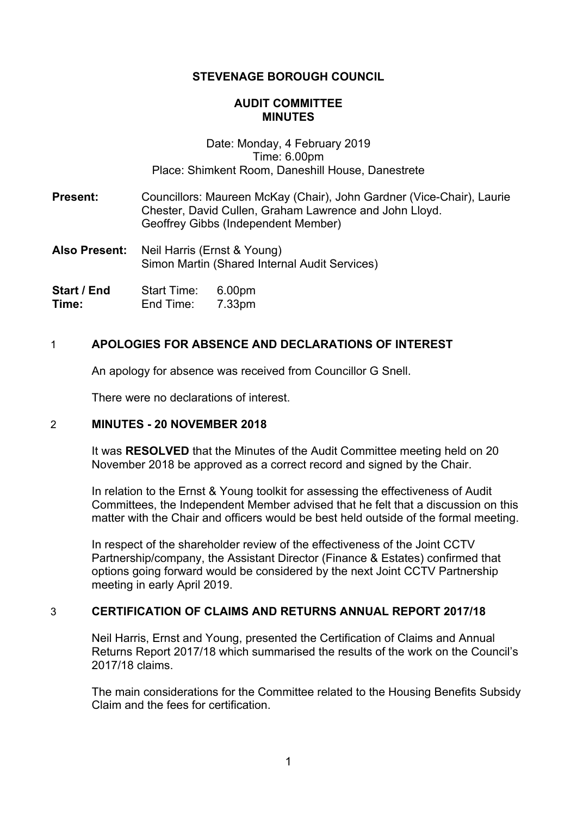### **STEVENAGE BOROUGH COUNCIL**

#### **AUDIT COMMITTEE MINUTES**

#### Date: Monday, 4 February 2019 Time: 6.00pm Place: Shimkent Room, Daneshill House, Danestrete

- **Present:** Councillors: Maureen McKay (Chair), John Gardner (Vice-Chair), Laurie Chester, David Cullen, Graham Lawrence and John Lloyd. Geoffrey Gibbs (Independent Member)
- **Also Present:** Neil Harris (Ernst & Young) Simon Martin (Shared Internal Audit Services)
- **Start / End** Start Time: 6.00pm **Time:** End Time: 7.33pm

## 1 **APOLOGIES FOR ABSENCE AND DECLARATIONS OF INTEREST**

An apology for absence was received from Councillor G Snell.

There were no declarations of interest.

#### 2 **MINUTES - 20 NOVEMBER 2018**

It was **RESOLVED** that the Minutes of the Audit Committee meeting held on 20 November 2018 be approved as a correct record and signed by the Chair.

In relation to the Ernst & Young toolkit for assessing the effectiveness of Audit Committees, the Independent Member advised that he felt that a discussion on this matter with the Chair and officers would be best held outside of the formal meeting.

In respect of the shareholder review of the effectiveness of the Joint CCTV Partnership/company, the Assistant Director (Finance & Estates) confirmed that options going forward would be considered by the next Joint CCTV Partnership meeting in early April 2019.

## 3 **CERTIFICATION OF CLAIMS AND RETURNS ANNUAL REPORT 2017/18**

Neil Harris, Ernst and Young, presented the Certification of Claims and Annual Returns Report 2017/18 which summarised the results of the work on the Council's 2017/18 claims.

The main considerations for the Committee related to the Housing Benefits Subsidy Claim and the fees for certification.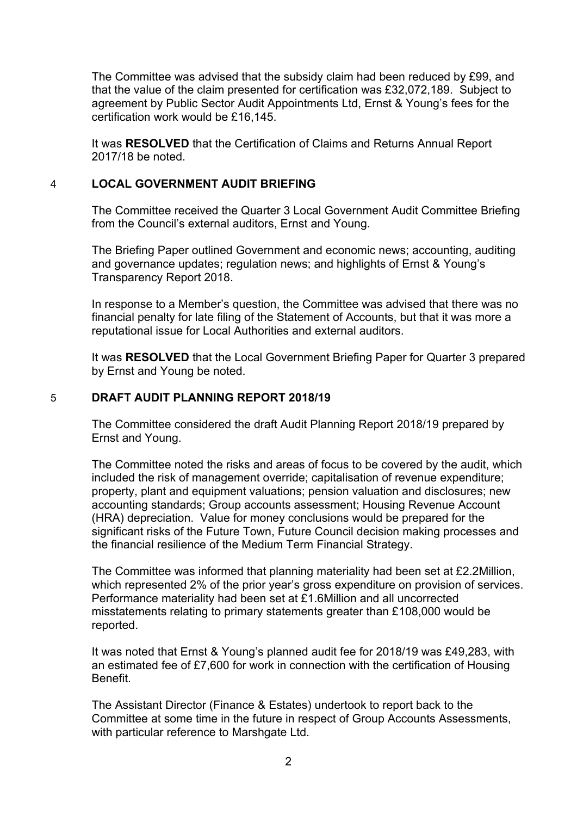The Committee was advised that the subsidy claim had been reduced by £99, and that the value of the claim presented for certification was £32,072,189. Subject to agreement by Public Sector Audit Appointments Ltd, Ernst & Young's fees for the certification work would be £16,145.

It was **RESOLVED** that the Certification of Claims and Returns Annual Report 2017/18 be noted.

## 4 **LOCAL GOVERNMENT AUDIT BRIEFING**

The Committee received the Quarter 3 Local Government Audit Committee Briefing from the Council's external auditors, Ernst and Young.

The Briefing Paper outlined Government and economic news; accounting, auditing and governance updates; regulation news; and highlights of Ernst & Young's Transparency Report 2018.

In response to a Member's question, the Committee was advised that there was no financial penalty for late filing of the Statement of Accounts, but that it was more a reputational issue for Local Authorities and external auditors.

It was **RESOLVED** that the Local Government Briefing Paper for Quarter 3 prepared by Ernst and Young be noted.

## 5 **DRAFT AUDIT PLANNING REPORT 2018/19**

The Committee considered the draft Audit Planning Report 2018/19 prepared by Ernst and Young.

The Committee noted the risks and areas of focus to be covered by the audit, which included the risk of management override; capitalisation of revenue expenditure; property, plant and equipment valuations; pension valuation and disclosures; new accounting standards; Group accounts assessment; Housing Revenue Account (HRA) depreciation. Value for money conclusions would be prepared for the significant risks of the Future Town, Future Council decision making processes and the financial resilience of the Medium Term Financial Strategy.

The Committee was informed that planning materiality had been set at £2.2Million, which represented 2% of the prior year's gross expenditure on provision of services. Performance materiality had been set at £1.6Million and all uncorrected misstatements relating to primary statements greater than £108,000 would be reported.

It was noted that Ernst & Young's planned audit fee for 2018/19 was £49,283, with an estimated fee of £7,600 for work in connection with the certification of Housing Benefit.

The Assistant Director (Finance & Estates) undertook to report back to the Committee at some time in the future in respect of Group Accounts Assessments, with particular reference to Marshgate Ltd.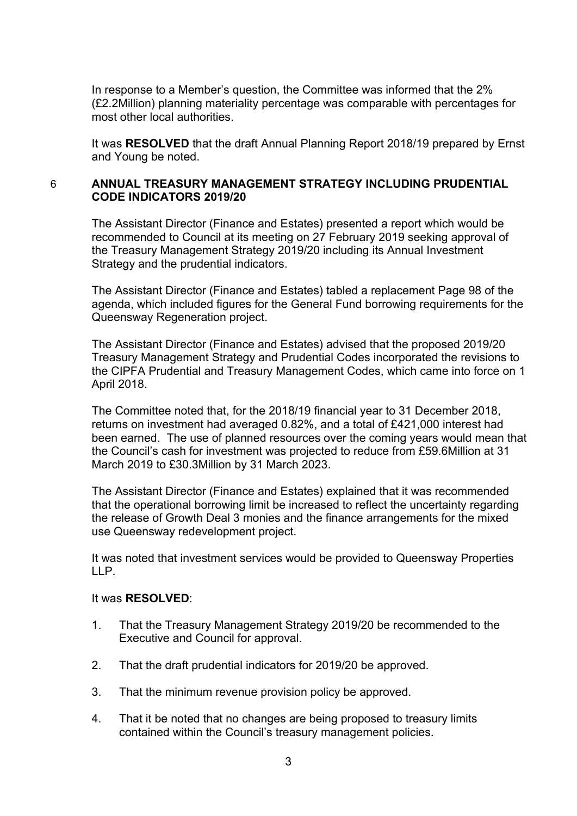In response to a Member's question, the Committee was informed that the 2% (£2.2Million) planning materiality percentage was comparable with percentages for most other local authorities.

It was **RESOLVED** that the draft Annual Planning Report 2018/19 prepared by Ernst and Young be noted.

### 6 **ANNUAL TREASURY MANAGEMENT STRATEGY INCLUDING PRUDENTIAL CODE INDICATORS 2019/20**

The Assistant Director (Finance and Estates) presented a report which would be recommended to Council at its meeting on 27 February 2019 seeking approval of the Treasury Management Strategy 2019/20 including its Annual Investment Strategy and the prudential indicators.

The Assistant Director (Finance and Estates) tabled a replacement Page 98 of the agenda, which included figures for the General Fund borrowing requirements for the Queensway Regeneration project.

The Assistant Director (Finance and Estates) advised that the proposed 2019/20 Treasury Management Strategy and Prudential Codes incorporated the revisions to the CIPFA Prudential and Treasury Management Codes, which came into force on 1 April 2018.

The Committee noted that, for the 2018/19 financial year to 31 December 2018, returns on investment had averaged 0.82%, and a total of £421,000 interest had been earned. The use of planned resources over the coming years would mean that the Council's cash for investment was projected to reduce from £59.6Million at 31 March 2019 to £30.3Million by 31 March 2023.

The Assistant Director (Finance and Estates) explained that it was recommended that the operational borrowing limit be increased to reflect the uncertainty regarding the release of Growth Deal 3 monies and the finance arrangements for the mixed use Queensway redevelopment project.

It was noted that investment services would be provided to Queensway Properties  $IIP$ 

### It was **RESOLVED**:

- 1. That the Treasury Management Strategy 2019/20 be recommended to the Executive and Council for approval.
- 2. That the draft prudential indicators for 2019/20 be approved.
- 3. That the minimum revenue provision policy be approved.
- 4. That it be noted that no changes are being proposed to treasury limits contained within the Council's treasury management policies.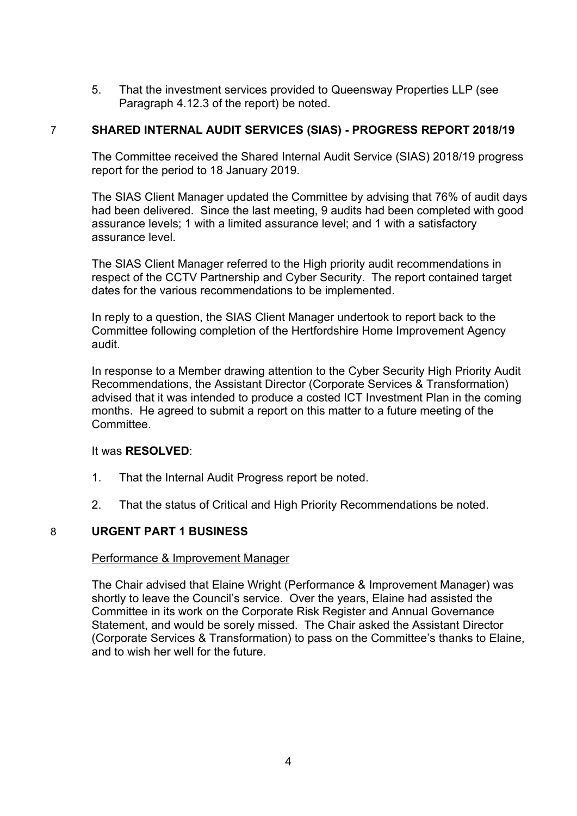5. That the investment services provided to Queensway Properties LLP (see Paragraph 4.12.3 of the report) be noted.

# 7 **SHARED INTERNAL AUDIT SERVICES (SIAS) - PROGRESS REPORT 2018/19**

The Committee received the Shared Internal Audit Service (SIAS) 2018/19 progress report for the period to 18 January 2019.

The SIAS Client Manager updated the Committee by advising that 76% of audit days had been delivered. Since the last meeting, 9 audits had been completed with good assurance levels; 1 with a limited assurance level; and 1 with a satisfactory assurance level.

The SIAS Client Manager referred to the High priority audit recommendations in respect of the CCTV Partnership and Cyber Security. The report contained target dates for the various recommendations to be implemented.

In reply to a question, the SIAS Client Manager undertook to report back to the Committee following completion of the Hertfordshire Home Improvement Agency audit.

In response to a Member drawing attention to the Cyber Security High Priority Audit Recommendations, the Assistant Director (Corporate Services & Transformation) advised that it was intended to produce a costed ICT Investment Plan in the coming months. He agreed to submit a report on this matter to a future meeting of the Committee.

### It was **RESOLVED**:

- 1. That the Internal Audit Progress report be noted.
- 2. That the status of Critical and High Priority Recommendations be noted.

# 8 **URGENT PART 1 BUSINESS**

### Performance & Improvement Manager

The Chair advised that Elaine Wright (Performance & Improvement Manager) was shortly to leave the Council's service. Over the years, Elaine had assisted the Committee in its work on the Corporate Risk Register and Annual Governance Statement, and would be sorely missed. The Chair asked the Assistant Director (Corporate Services & Transformation) to pass on the Committee's thanks to Elaine, and to wish her well for the future.